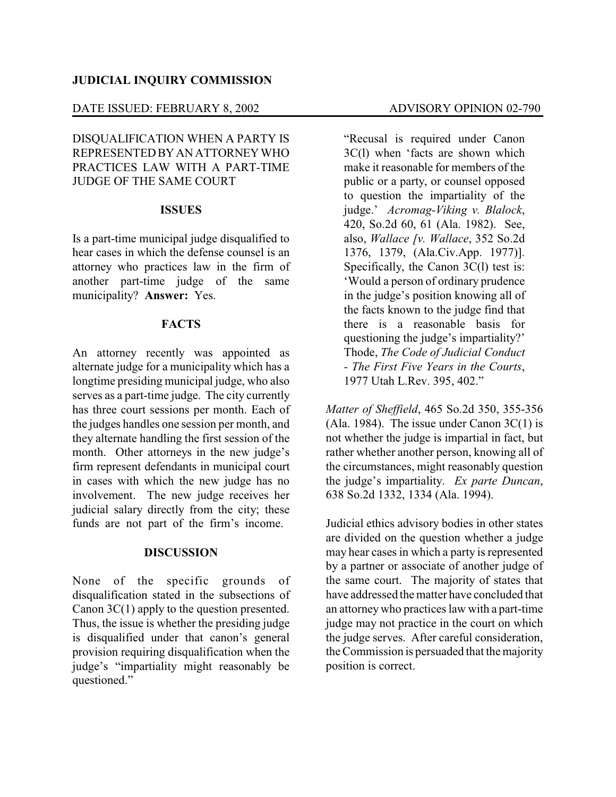#### **JUDICIAL INQUIRY COMMISSION**

#### DATE ISSUED: FEBRUARY 8, 2002 ADVISORY OPINION 02-790

DISQUALIFICATION WHEN A PARTY IS REPRESENTEDBYANATTORNEYWHO PRACTICES LAW WITH A PART-TIME JUDGE OF THE SAME COURT

## **ISSUES**

Is a part-time municipal judge disqualified to hear cases in which the defense counsel is an attorney who practices law in the firm of another part-time judge of the same municipality? **Answer:** Yes.

## **FACTS**

An attorney recently was appointed as alternate judge for a municipality which has a longtime presiding municipal judge, who also serves as a part-time judge. The city currently has three court sessions per month. Each of the judges handles one session per month, and they alternate handling the first session of the month. Other attorneys in the new judge's firm represent defendants in municipal court in cases with which the new judge has no involvement. The new judge receives her judicial salary directly from the city; these funds are not part of the firm's income.

#### **DISCUSSION**

None of the specific grounds of disqualification stated in the subsections of Canon 3C(1) apply to the question presented. Thus, the issue is whether the presiding judge is disqualified under that canon's general provision requiring disqualification when the judge's "impartiality might reasonably be questioned."

"Recusal is required under Canon 3C(l) when 'facts are shown which make it reasonable for members of the public or a party, or counsel opposed to question the impartiality of the judge.' *Acromag-Viking v. Blalock*, 420, So.2d 60, 61 (Ala. 1982). See, also, *Wallace [v. Wallace*, 352 So.2d 1376, 1379, (Ala.Civ.App. 1977)]. Specifically, the Canon 3C(l) test is: 'Would a person of ordinary prudence in the judge's position knowing all of the facts known to the judge find that there is a reasonable basis for questioning the judge's impartiality?' Thode, *The Code of Judicial Conduct - The First Five Years in the Courts*, 1977 Utah L.Rev. 395, 402."

*Matter of Sheffield*, 465 So.2d 350, 355-356 (Ala. 1984). The issue under Canon  $3C(1)$  is not whether the judge is impartial in fact, but rather whether another person, knowing all of the circumstances, might reasonably question the judge's impartiality. *Ex parte Duncan*, 638 So.2d 1332, 1334 (Ala. 1994).

Judicial ethics advisory bodies in other states are divided on the question whether a judge may hear cases in which a party is represented by a partner or associate of another judge of the same court. The majority of states that have addressed the matter have concluded that an attorneywho practices law with a part-time judge may not practice in the court on which the judge serves. After careful consideration, the Commission is persuaded that the majority position is correct.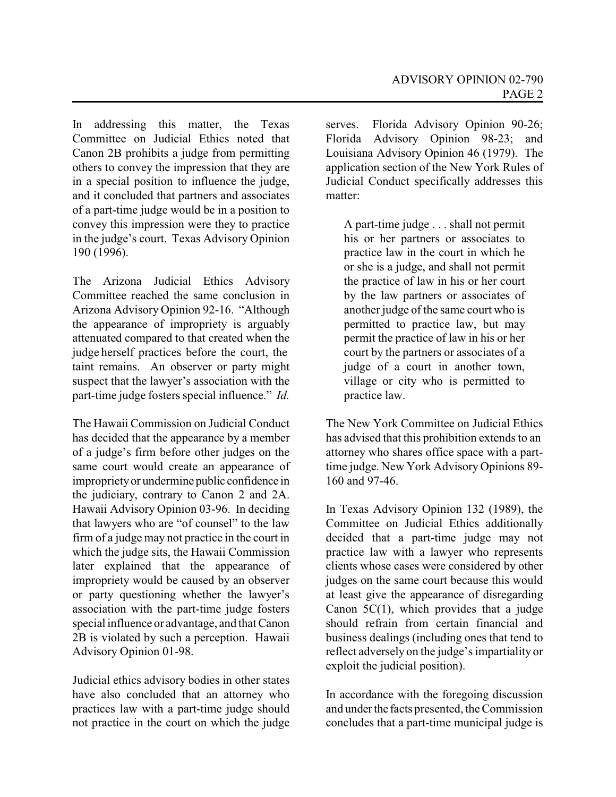In addressing this matter, the Texas Committee on Judicial Ethics noted that Canon 2B prohibits a judge from permitting others to convey the impression that they are in a special position to influence the judge, and it concluded that partners and associates of a part-time judge would be in a position to convey this impression were they to practice in the judge's court. Texas Advisory Opinion 190 (1996).

The Arizona Judicial Ethics Advisory Committee reached the same conclusion in Arizona Advisory Opinion 92-16. "Although the appearance of impropriety is arguably attenuated compared to that created when the judge herself practices before the court, the taint remains. An observer or party might suspect that the lawyer's association with the part-time judge fosters special influence." *Id.*

The Hawaii Commission on Judicial Conduct has decided that the appearance by a member of a judge's firm before other judges on the same court would create an appearance of improprietyor undermine public confidence in the judiciary, contrary to Canon 2 and 2A. Hawaii Advisory Opinion 03-96. In deciding that lawyers who are "of counsel" to the law firm of a judge may not practice in the court in which the judge sits, the Hawaii Commission later explained that the appearance of impropriety would be caused by an observer or party questioning whether the lawyer's association with the part-time judge fosters special influence or advantage, and that Canon 2B is violated by such a perception. Hawaii Advisory Opinion 01-98.

Judicial ethics advisory bodies in other states have also concluded that an attorney who practices law with a part-time judge should not practice in the court on which the judge serves. Florida Advisory Opinion 90-26; Florida Advisory Opinion 98-23; and Louisiana Advisory Opinion 46 (1979). The application section of the New York Rules of Judicial Conduct specifically addresses this matter:

A part-time judge . . . shall not permit his or her partners or associates to practice law in the court in which he or she is a judge, and shall not permit the practice of law in his or her court by the law partners or associates of another judge of the same court who is permitted to practice law, but may permit the practice of law in his or her court by the partners or associates of a judge of a court in another town. village or city who is permitted to practice law.

The New York Committee on Judicial Ethics has advised that this prohibition extends to an attorney who shares office space with a parttime judge. New York Advisory Opinions 89- 160 and 97-46.

In Texas Advisory Opinion 132 (1989), the Committee on Judicial Ethics additionally decided that a part-time judge may not practice law with a lawyer who represents clients whose cases were considered by other judges on the same court because this would at least give the appearance of disregarding Canon 5C(1), which provides that a judge should refrain from certain financial and business dealings (including ones that tend to reflect adversely on the judge's impartiality or exploit the judicial position).

In accordance with the foregoing discussion and underthe facts presented, the Commission concludes that a part-time municipal judge is